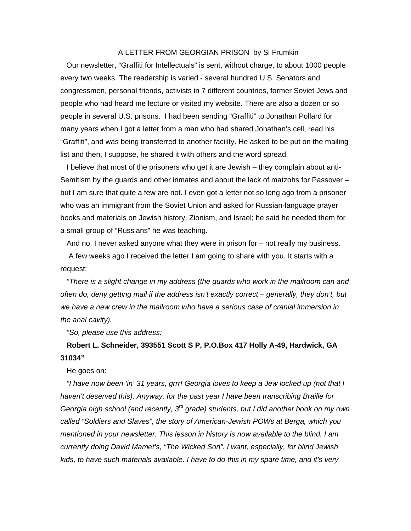## A LETTER FROM GEORGIAN PRISON by Si Frumkin

Our newsletter, "Graffiti for Intellectuals" is sent, without charge, to about 1000 people every two weeks. The readership is varied - several hundred U.S. Senators and congressmen, personal friends, activists in 7 different countries, former Soviet Jews and people who had heard me lecture or visited my website. There are also a dozen or so people in several U.S. prisons. I had been sending "Graffiti" to Jonathan Pollard for many years when I got a letter from a man who had shared Jonathan's cell, read his "Graffiti", and was being transferred to another facility. He asked to be put on the mailing list and then, I suppose, he shared it with others and the word spread.

I believe that most of the prisoners who get it are Jewish – they complain about anti-Semitism by the guards and other inmates and about the lack of matzohs for Passover – but I am sure that quite a few are not. I even got a letter not so long ago from a prisoner who was an immigrant from the Soviet Union and asked for Russian-language prayer books and materials on Jewish history, Zionism, and Israel; he said he needed them for a small group of "Russians" he was teaching.

And no, I never asked anyone what they were in prison for – not really my business.

 A few weeks ago I received the letter I am going to share with you. It starts with a request:

*"There is a slight change in my address (the guards who work in the mailroom can and often do, deny getting mail if the address isn't exactly correct – generally, they don't, but we have a new crew in the mailroom who have a serious case of cranial immersion in the anal cavity).* 

*"So, please use this address:* 

## **Robert L. Schneider, 393551 Scott S P, P.O.Box 417 Holly A-49, Hardwick, GA 31034"**

He goes on:

*"I have now been 'in' 31 years, grrr! Georgia loves to keep a Jew locked up (not that I haven't deserved this). Anyway, for the past year I have been transcribing Braille for Georgia high school (and recently, 3rd grade) students, but I did another book on my own called "Soldiers and Slaves", the story of American-Jewish POWs at Berga, which you mentioned in your newsletter. This lesson in history is now available to the blind. I am currently doing David Mamet's, "The Wicked Son". I want, especially, for blind Jewish kids, to have such materials available. I have to do this in my spare time, and it's very*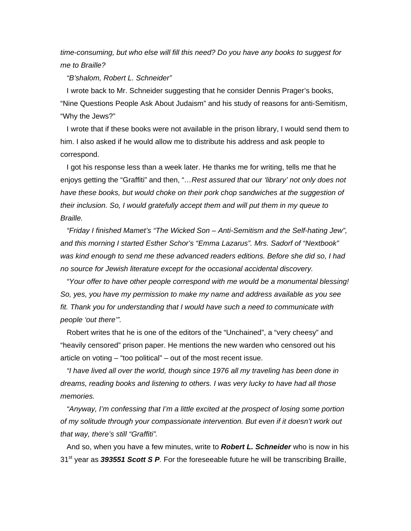*time-consuming, but who else will fill this need? Do you have any books to suggest for me to Braille?* 

*"B'shalom, Robert L. Schneider"* 

I wrote back to Mr. Schneider suggesting that he consider Dennis Prager's books, "Nine Questions People Ask About Judaism" and his study of reasons for anti-Semitism, "Why the Jews?"

I wrote that if these books were not available in the prison library, I would send them to him. I also asked if he would allow me to distribute his address and ask people to correspond.

I got his response less than a week later. He thanks me for writing, tells me that he enjoys getting the "Graffiti" and then, "*…Rest assured that our 'library' not only does not have these books, but would choke on their pork chop sandwiches at the suggestion of their inclusion. So, I would gratefully accept them and will put them in my queue to Braille.* 

*"Friday I finished Mamet's "The Wicked Son – Anti-Semitism and the Self-hating Jew", and this morning I started Esther Schor's "Emma Lazarus". Mrs. Sadorf of "Nextbook" was kind enough to send me these advanced readers editions. Before she did so, I had no source for Jewish literature except for the occasional accidental discovery.* 

*"Your offer to have other people correspond with me would be a monumental blessing! So, yes, you have my permission to make my name and address available as you see fit. Thank you for understanding that I would have such a need to communicate with people 'out there'".* 

Robert writes that he is one of the editors of the "Unchained", a "very cheesy" and "heavily censored" prison paper. He mentions the new warden who censored out his article on voting – "too political" – out of the most recent issue.

*"I have lived all over the world, though since 1976 all my traveling has been done in dreams, reading books and listening to others. I was very lucky to have had all those memories.* 

*"Anyway, I'm confessing that I'm a little excited at the prospect of losing some portion of my solitude through your compassionate intervention. But even if it doesn't work out that way, there's still "Graffiti".* 

And so, when you have a few minutes, write to *Robert L. Schneider* who is now in his 31st year as *393551 Scott S P.* For the foreseeable future he will be transcribing Braille,